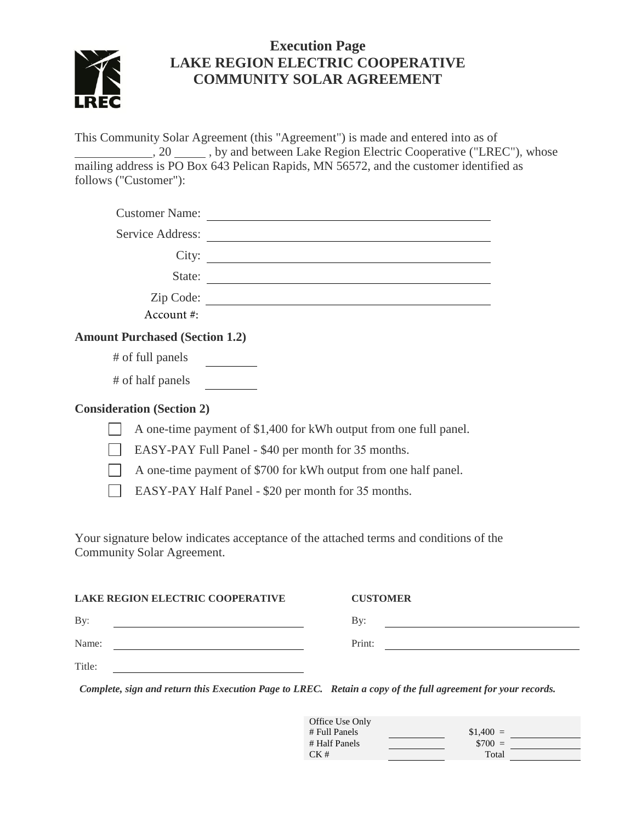

## **Execution Page LAKE REGION ELECTRIC COOPERATIVE COMMUNITY SOLAR AGREEMENT**

This Community Solar Agreement (this "Agreement") is made and entered into as of , 20 , by and between Lake Region Electric Cooperative ("LREC"), whose mailing address is PO Box 643 Pelican Rapids, MN 56572, and the customer identified as follows ("Customer"):

|                                                                   | Customer Name:                                                                                                       |  |  |  |
|-------------------------------------------------------------------|----------------------------------------------------------------------------------------------------------------------|--|--|--|
| Service Address:                                                  | <u> 1989 - Johann Stein, fransk konge og det for de forskellige og det forskellige og det forskellige og det for</u> |  |  |  |
|                                                                   |                                                                                                                      |  |  |  |
|                                                                   | State:                                                                                                               |  |  |  |
|                                                                   | Zip Code:                                                                                                            |  |  |  |
| Account#:                                                         |                                                                                                                      |  |  |  |
| <b>Amount Purchased (Section 1.2)</b>                             |                                                                                                                      |  |  |  |
| # of full panels                                                  |                                                                                                                      |  |  |  |
| # of half panels                                                  |                                                                                                                      |  |  |  |
| <b>Consideration (Section 2)</b>                                  |                                                                                                                      |  |  |  |
| A one-time payment of \$1,400 for kWh output from one full panel. |                                                                                                                      |  |  |  |
| EASY-PAY Full Panel - \$40 per month for 35 months.               |                                                                                                                      |  |  |  |
|                                                                   | A one-time payment of \$700 for kWh output from one half panel.                                                      |  |  |  |
|                                                                   | EASY-PAY Half Panel - \$20 per month for 35 months.                                                                  |  |  |  |
|                                                                   |                                                                                                                      |  |  |  |

Your signature below indicates acceptance of the attached terms and conditions of the Community Solar Agreement.

| LAKE REGION ELECTRIC COOPERATIVE | <b>CUSTOMER</b> |
|----------------------------------|-----------------|
| By:                              | Bv:             |
| Name:                            | Print:          |
| Title:                           |                 |

*Complete, sign and return this Execution Page to LREC. Retain a copy of the full agreement for your records.* 

| Office Use Only |            |  |
|-----------------|------------|--|
| # Full Panels   | $$1,400 =$ |  |
| # Half Panels   | $$700 =$   |  |
| CK#             | Total      |  |
|                 |            |  |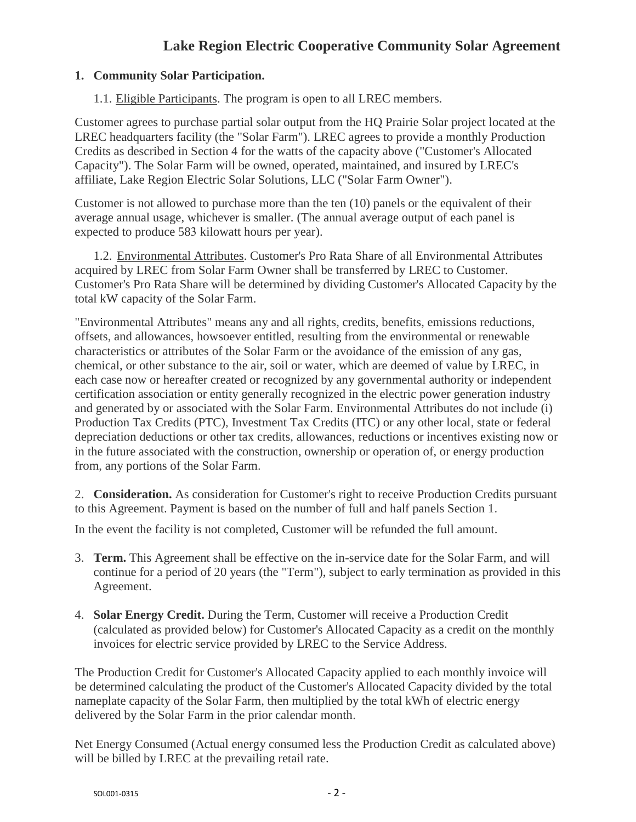# **Lake Region Electric Cooperative Community Solar Agreement**

#### **1. Community Solar Participation.**

#### 1.1. Eligible Participants. The program is open to all LREC members.

Customer agrees to purchase partial solar output from the HQ Prairie Solar project located at the LREC headquarters facility (the "Solar Farm"). LREC agrees to provide a monthly Production Credits as described in Section 4 for the watts of the capacity above ("Customer's Allocated Capacity"). The Solar Farm will be owned, operated, maintained, and insured by LREC's affiliate, Lake Region Electric Solar Solutions, LLC ("Solar Farm Owner").

Customer is not allowed to purchase more than the ten (10) panels or the equivalent of their average annual usage, whichever is smaller. (The annual average output of each panel is expected to produce 583 kilowatt hours per year).

1.2. Environmental Attributes. Customer's Pro Rata Share of all Environmental Attributes acquired by LREC from Solar Farm Owner shall be transferred by LREC to Customer. Customer's Pro Rata Share will be determined by dividing Customer's Allocated Capacity by the total kW capacity of the Solar Farm.

"Environmental Attributes" means any and all rights, credits, benefits, emissions reductions, offsets, and allowances, howsoever entitled, resulting from the environmental or renewable characteristics or attributes of the Solar Farm or the avoidance of the emission of any gas, chemical, or other substance to the air, soil or water, which are deemed of value by LREC, in each case now or hereafter created or recognized by any governmental authority or independent certification association or entity generally recognized in the electric power generation industry and generated by or associated with the Solar Farm. Environmental Attributes do not include (i) Production Tax Credits (PTC), Investment Tax Credits (ITC) or any other local, state or federal depreciation deductions or other tax credits, allowances, reductions or incentives existing now or in the future associated with the construction, ownership or operation of, or energy production from, any portions of the Solar Farm.

2. **Consideration.** As consideration for Customer's right to receive Production Credits pursuant to this Agreement. Payment is based on the number of full and half panels Section 1.

In the event the facility is not completed, Customer will be refunded the full amount.

- 3. **Term.** This Agreement shall be effective on the in-service date for the Solar Farm, and will continue for a period of 20 years (the "Term"), subject to early termination as provided in this Agreement.
- 4. **Solar Energy Credit.** During the Term, Customer will receive a Production Credit (calculated as provided below) for Customer's Allocated Capacity as a credit on the monthly invoices for electric service provided by LREC to the Service Address.

The Production Credit for Customer's Allocated Capacity applied to each monthly invoice will be determined calculating the product of the Customer's Allocated Capacity divided by the total nameplate capacity of the Solar Farm, then multiplied by the total kWh of electric energy delivered by the Solar Farm in the prior calendar month.

Net Energy Consumed (Actual energy consumed less the Production Credit as calculated above) will be billed by LREC at the prevailing retail rate.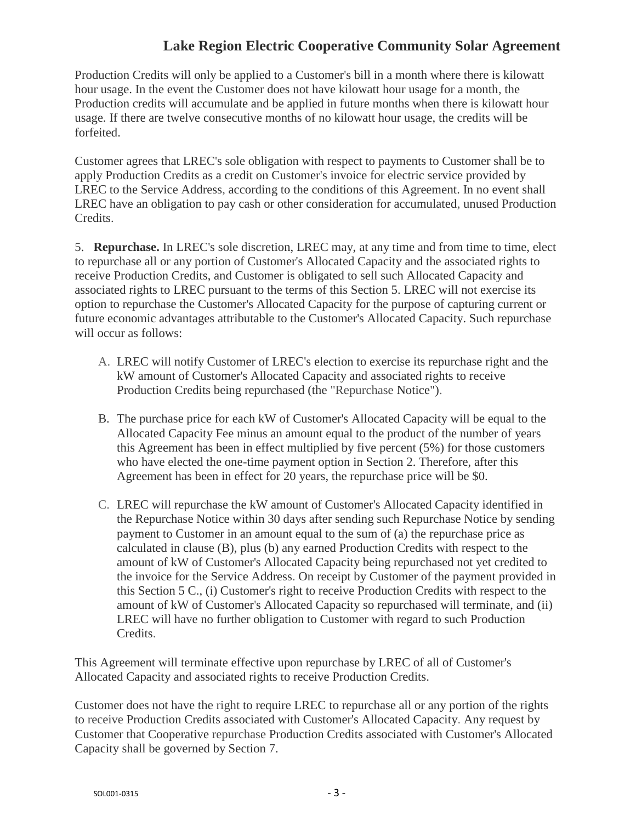## **Lake Region Electric Cooperative Community Solar Agreement**

Production Credits will only be applied to a Customer's bill in a month where there is kilowatt hour usage. In the event the Customer does not have kilowatt hour usage for a month, the Production credits will accumulate and be applied in future months when there is kilowatt hour usage. If there are twelve consecutive months of no kilowatt hour usage, the credits will be forfeited.

Customer agrees that LREC's sole obligation with respect to payments to Customer shall be to apply Production Credits as a credit on Customer's invoice for electric service provided by LREC to the Service Address, according to the conditions of this Agreement. In no event shall LREC have an obligation to pay cash or other consideration for accumulated, unused Production Credits.

5. **Repurchase.** In LREC's sole discretion, LREC may, at any time and from time to time, elect to repurchase all or any portion of Customer's Allocated Capacity and the associated rights to receive Production Credits, and Customer is obligated to sell such Allocated Capacity and associated rights to LREC pursuant to the terms of this Section 5. LREC will not exercise its option to repurchase the Customer's Allocated Capacity for the purpose of capturing current or future economic advantages attributable to the Customer's Allocated Capacity. Such repurchase will occur as follows:

- A. LREC will notify Customer of LREC's election to exercise its repurchase right and the kW amount of Customer's Allocated Capacity and associated rights to receive Production Credits being repurchased (the "Repurchase Notice").
- B. The purchase price for each kW of Customer's Allocated Capacity will be equal to the Allocated Capacity Fee minus an amount equal to the product of the number of years this Agreement has been in effect multiplied by five percent (5%) for those customers who have elected the one-time payment option in Section 2. Therefore, after this Agreement has been in effect for 20 years, the repurchase price will be \$0.
- C. LREC will repurchase the kW amount of Customer's Allocated Capacity identified in the Repurchase Notice within 30 days after sending such Repurchase Notice by sending payment to Customer in an amount equal to the sum of (a) the repurchase price as calculated in clause (B), plus (b) any earned Production Credits with respect to the amount of kW of Customer's Allocated Capacity being repurchased not yet credited to the invoice for the Service Address. On receipt by Customer of the payment provided in this Section 5 C., (i) Customer's right to receive Production Credits with respect to the amount of kW of Customer's Allocated Capacity so repurchased will terminate, and (ii) LREC will have no further obligation to Customer with regard to such Production Credits.

This Agreement will terminate effective upon repurchase by LREC of all of Customer's Allocated Capacity and associated rights to receive Production Credits.

Customer does not have the right to require LREC to repurchase all or any portion of the rights to receive Production Credits associated with Customer's Allocated Capacity. Any request by Customer that Cooperative repurchase Production Credits associated with Customer's Allocated Capacity shall be governed by Section 7.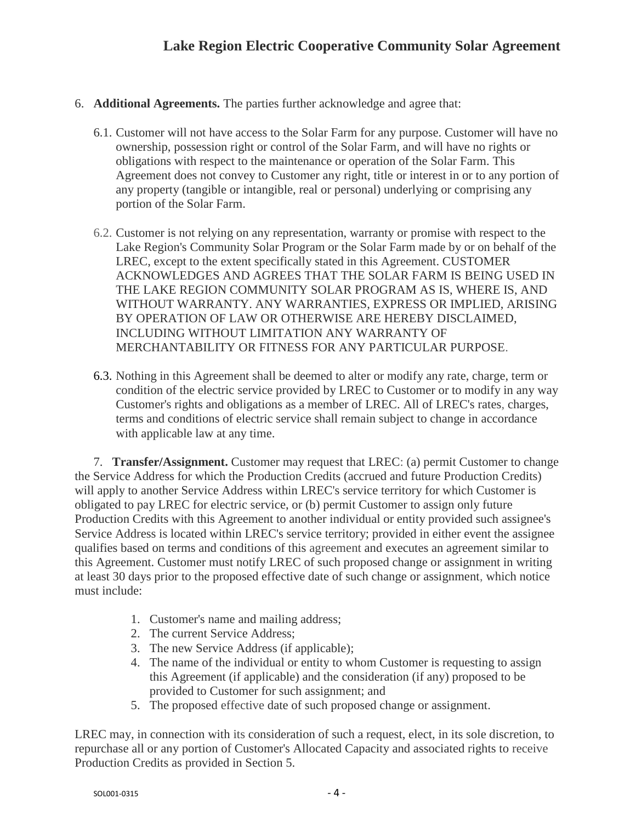- 6. **Additional Agreements.** The parties further acknowledge and agree that:
	- 6.1. Customer will not have access to the Solar Farm for any purpose. Customer will have no ownership, possession right or control of the Solar Farm, and will have no rights or obligations with respect to the maintenance or operation of the Solar Farm. This Agreement does not convey to Customer any right, title or interest in or to any portion of any property (tangible or intangible, real or personal) underlying or comprising any portion of the Solar Farm.
	- 6.2. Customer is not relying on any representation, warranty or promise with respect to the Lake Region's Community Solar Program or the Solar Farm made by or on behalf of the LREC, except to the extent specifically stated in this Agreement. CUSTOMER ACKNOWLEDGES AND AGREES THAT THE SOLAR FARM IS BEING USED IN THE LAKE REGION COMMUNITY SOLAR PROGRAM AS IS, WHERE IS, AND WITHOUT WARRANTY. ANY WARRANTIES, EXPRESS OR IMPLIED, ARISING BY OPERATION OF LAW OR OTHERWISE ARE HEREBY DISCLAIMED, INCLUDING WITHOUT LIMITATION ANY WARRANTY OF MERCHANTABILITY OR FITNESS FOR ANY PARTICULAR PURPOSE.
	- 6.3. Nothing in this Agreement shall be deemed to alter or modify any rate, charge, term or condition of the electric service provided by LREC to Customer or to modify in any way Customer's rights and obligations as a member of LREC. All of LREC's rates, charges, terms and conditions of electric service shall remain subject to change in accordance with applicable law at any time.

7. **Transfer/Assignment.** Customer may request that LREC: (a) permit Customer to change the Service Address for which the Production Credits (accrued and future Production Credits) will apply to another Service Address within LREC's service territory for which Customer is obligated to pay LREC for electric service, or (b) permit Customer to assign only future Production Credits with this Agreement to another individual or entity provided such assignee's Service Address is located within LREC's service territory; provided in either event the assignee qualifies based on terms and conditions of this agreement and executes an agreement similar to this Agreement. Customer must notify LREC of such proposed change or assignment in writing at least 30 days prior to the proposed effective date of such change or assignment, which notice must include:

- 1. Customer's name and mailing address;
- 2. The current Service Address;
- 3. The new Service Address (if applicable);
- 4. The name of the individual or entity to whom Customer is requesting to assign this Agreement (if applicable) and the consideration (if any) proposed to be provided to Customer for such assignment; and
- 5. The proposed effective date of such proposed change or assignment.

LREC may, in connection with its consideration of such a request, elect, in its sole discretion, to repurchase all or any portion of Customer's Allocated Capacity and associated rights to receive Production Credits as provided in Section 5.